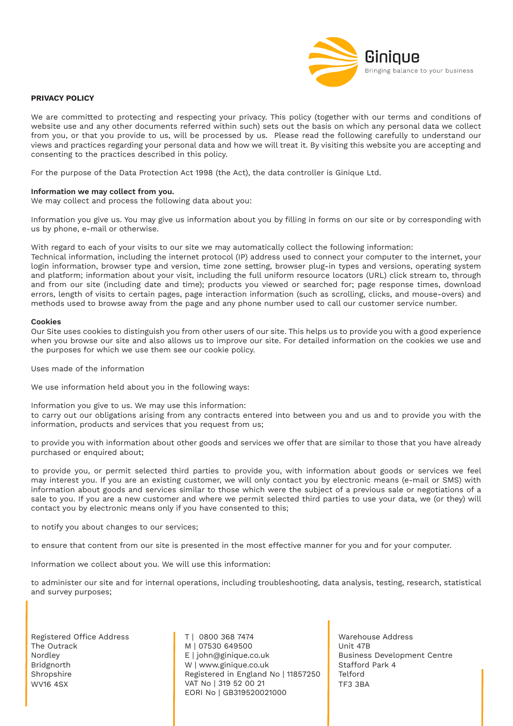

# **PRIVACY POLICY**

We are committed to protecting and respecting your privacy. This policy (together with our terms and conditions of website use and any other documents referred within such) sets out the basis on which any personal data we collect from you, or that you provide to us, will be processed by us. Please read the following carefully to understand our views and practices regarding your personal data and how we will treat it. By visiting this website you are accepting and consenting to the practices described in this policy.

For the purpose of the Data Protection Act 1998 (the Act), the data controller is Ginique Ltd.

## **Information we may collect from you.**

We may collect and process the following data about you:

Information you give us. You may give us information about you by filling in forms on our site or by corresponding with us by phone, e-mail or otherwise.

With regard to each of your visits to our site we may automatically collect the following information:

Technical information, including the internet protocol (IP) address used to connect your computer to the internet, your login information, browser type and version, time zone setting, browser plug-in types and versions, operating system and platform; information about your visit, including the full uniform resource locators (URL) click stream to, through and from our site (including date and time); products you viewed or searched for; page response times, download errors, length of visits to certain pages, page interaction information (such as scrolling, clicks, and mouse-overs) and methods used to browse away from the page and any phone number used to call our customer service number.

### **Cookies**

Our Site uses cookies to distinguish you from other users of our site. This helps us to provide you with a good experience when you browse our site and also allows us to improve our site. For detailed information on the cookies we use and the purposes for which we use them see our cookie policy.

Uses made of the information

We use information held about you in the following ways:

Information you give to us. We may use this information:

to carry out our obligations arising from any contracts entered into between you and us and to provide you with the information, products and services that you request from us;

to provide you with information about other goods and services we offer that are similar to those that you have already purchased or enquired about;

to provide you, or permit selected third parties to provide you, with information about goods or services we feel may interest you. If you are an existing customer, we will only contact you by electronic means (e-mail or SMS) with information about goods and services similar to those which were the subject of a previous sale or negotiations of a sale to you. If you are a new customer and where we permit selected third parties to use your data, we (or they) will contact you by electronic means only if you have consented to this;

to notify you about changes to our services;

to ensure that content from our site is presented in the most effective manner for you and for your computer.

Information we collect about you. We will use this information:

to administer our site and for internal operations, including troubleshooting, data analysis, testing, research, statistical and survey purposes;

Registered Office Address The Outrack Nordley Bridgnorth Shropshire WV16 4SX

T | 0800 368 7474 M | 07530 649500 E | john@ginique.co.uk W | www.ginique.co.uk Registered in England No | 11857250 VAT No | 319 52 00 21 EORI No | GB319520021000

Warehouse Address Unit 47B Business Development Centre Stafford Park 4 Telford TF3 3BA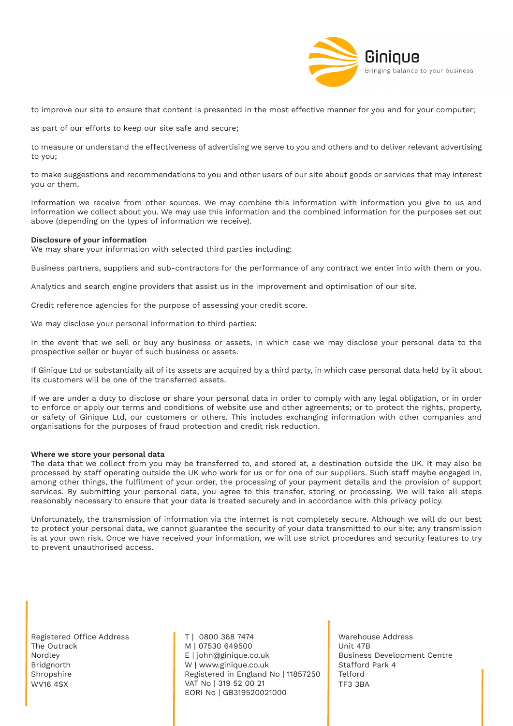

to improve our site to ensure that content is presented in the most effective manner for you and for your computer;

as part of our efforts to keep our site safe and secure;

to measure or understand the effectiveness of advertising we serve to you and others and to deliver relevant advertising to you;

to make suggestions and recommendations to you and other users of our site about goods or services that may interest you or them.

Information we receive from other sources. We may combine this information with information you give to us and information we collect about you. We may use this information and the combined information for the purposes set out above (depending on the types of information we receive).

## **Disclosure of your information**

We may share your information with selected third parties including:

Business partners, suppliers and sub-contractors for the performance of any contract we enter into with them or you.

Analytics and search engine providers that assist us in the improvement and optimisation of our site.

Credit reference agencies for the purpose of assessing your credit score.

We may disclose your personal information to third parties:

In the event that we sell or buy any business or assets, in which case we may disclose your personal data to the prospective seller or buyer of such business or assets.

If Ginique Ltd or substantially all of its assets are acquired by a third party, in which case personal data held by it about its customers will be one of the transferred assets.

If we are under a duty to disclose or share your personal data in order to comply with any legal obligation, or in order to enforce or apply our terms and conditions of website use and other agreements; or to protect the rights, property, or safety of Ginique Ltd, our customers or others. This includes exchanging information with other companies and organisations for the purposes of fraud protection and credit risk reduction.

#### **Where we store your personal data**

The data that we collect from you may be transferred to, and stored at, a destination outside the UK. It may also be processed by staff operating outside the UK who work for us or for one of our suppliers. Such staff maybe engaged in, among other things, the fulfilment of your order, the processing of your payment details and the provision of support services. By submitting your personal data, you agree to this transfer, storing or processing. We will take all steps reasonably necessary to ensure that your data is treated securely and in accordance with this privacy policy.

Unfortunately, the transmission of information via the internet is not completely secure. Although we will do our best to protect your personal data, we cannot guarantee the security of your data transmitted to our site; any transmission is at your own risk. Once we have received your information, we will use strict procedures and security features to try to prevent unauthorised access.

Registered Office Address The Outrack Nordley Bridgnorth Shropshire WV16 4SX

T | 0800 368 7474 M | 07530 649500 E | john@ginique.co.uk W | www.ginique.co.uk Registered in England No | 11857250 VAT No | 319 52 00 21 EORI No | GB319520021000

Warehouse Address Unit 47B Business Development Centre Stafford Park 4 Telford TF3 3BA